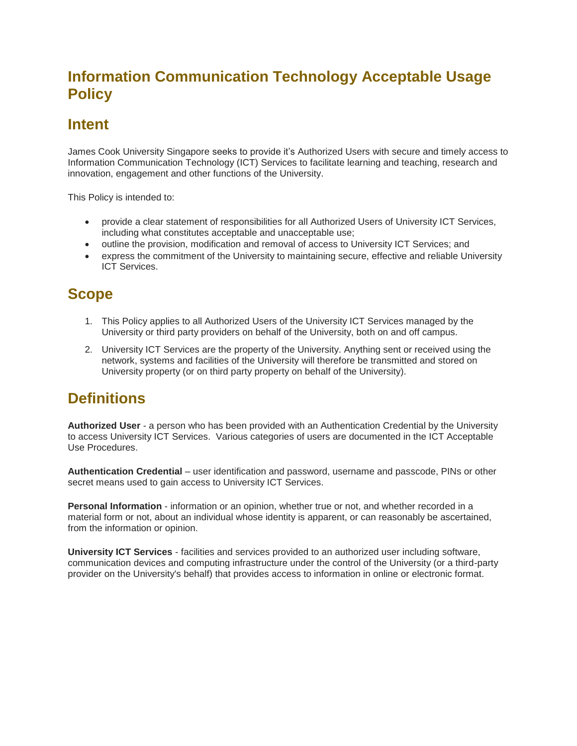## **Information Communication Technology Acceptable Usage Policy**

### **Intent**

James Cook University Singapore seeks to provide it's Authorized Users with secure and timely access to Information Communication Technology (ICT) Services to facilitate learning and teaching, research and innovation, engagement and other functions of the University.

This Policy is intended to:

- provide a clear statement of responsibilities for all Authorized Users of University ICT Services, including what constitutes acceptable and unacceptable use;
- outline the provision, modification and removal of access to University ICT Services; and
- express the commitment of the University to maintaining secure, effective and reliable University ICT Services.

#### **Scope**

- 1. This Policy applies to all Authorized Users of the University ICT Services managed by the University or third party providers on behalf of the University, both on and off campus.
- 2. University ICT Services are the property of the University. Anything sent or received using the network, systems and facilities of the University will therefore be transmitted and stored on University property (or on third party property on behalf of the University).

## **Definitions**

**Authorized User** - a person who has been provided with an Authentication Credential by the University to access University ICT Services. Various categories of users are documented in the ICT Acceptable Use Procedures.

**Authentication Credential** – user identification and password, username and passcode, PINs or other secret means used to gain access to University ICT Services.

**Personal Information** - information or an opinion, whether true or not, and whether recorded in a material form or not, about an individual whose identity is apparent, or can reasonably be ascertained, from the information or opinion.

**University ICT Services** - facilities and services provided to an authorized user including software, communication devices and computing infrastructure under the control of the University (or a third-party provider on the University's behalf) that provides access to information in online or electronic format.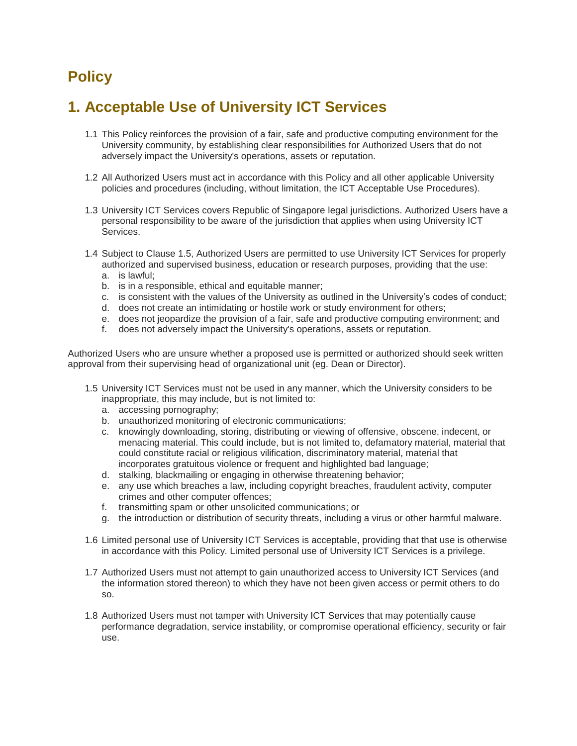# **Policy**

#### **1. Acceptable Use of University ICT Services**

- 1.1 This Policy reinforces the provision of a fair, safe and productive computing environment for the University community, by establishing clear responsibilities for Authorized Users that do not adversely impact the University's operations, assets or reputation.
- 1.2 All Authorized Users must act in accordance with this Policy and all other applicable University policies and procedures (including, without limitation, the ICT Acceptable Use Procedures).
- 1.3 University ICT Services covers Republic of Singapore legal jurisdictions. Authorized Users have a personal responsibility to be aware of the jurisdiction that applies when using University ICT Services.
- 1.4 Subject to Clause 1.5, Authorized Users are permitted to use University ICT Services for properly authorized and supervised business, education or research purposes, providing that the use: a. is lawful;
	- b. is in a responsible, ethical and equitable manner;
	- c. is consistent with the values of the University as outlined in the University's codes of conduct;
	- d. does not create an intimidating or hostile work or study environment for others;
	- e. does not jeopardize the provision of a fair, safe and productive computing environment; and
	- f. does not adversely impact the University's operations, assets or reputation.

Authorized Users who are unsure whether a proposed use is permitted or authorized should seek written approval from their supervising head of organizational unit (eg. Dean or Director).

- 1.5 University ICT Services must not be used in any manner, which the University considers to be inappropriate, this may include, but is not limited to:
	- a. accessing pornography;
	- b. unauthorized monitoring of electronic communications;
	- c. knowingly downloading, storing, distributing or viewing of offensive, obscene, indecent, or menacing material. This could include, but is not limited to, defamatory material, material that could constitute racial or religious vilification, discriminatory material, material that incorporates gratuitous violence or frequent and highlighted bad language;
	- d. stalking, blackmailing or engaging in otherwise threatening behavior;
	- e. any use which breaches a law, including copyright breaches, fraudulent activity, computer crimes and other computer offences;
	- f. transmitting spam or other unsolicited communications; or
	- g. the introduction or distribution of security threats, including a virus or other harmful malware.
- 1.6 Limited personal use of University ICT Services is acceptable, providing that that use is otherwise in accordance with this Policy. Limited personal use of University ICT Services is a privilege.
- 1.7 Authorized Users must not attempt to gain unauthorized access to University ICT Services (and the information stored thereon) to which they have not been given access or permit others to do so.
- 1.8 Authorized Users must not tamper with University ICT Services that may potentially cause performance degradation, service instability, or compromise operational efficiency, security or fair use.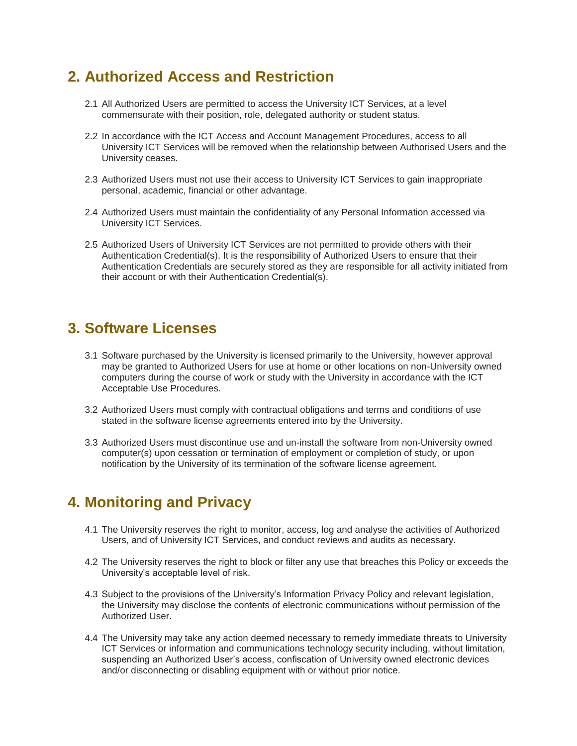### **2. Authorized Access and Restriction**

- 2.1 All Authorized Users are permitted to access the University ICT Services, at a level commensurate with their position, role, delegated authority or student status.
- 2.2 In accordance with the ICT Access and Account Management Procedures, access to all University ICT Services will be removed when the relationship between Authorised Users and the University ceases.
- 2.3 Authorized Users must not use their access to University ICT Services to gain inappropriate personal, academic, financial or other advantage.
- 2.4 Authorized Users must maintain the confidentiality of any Personal Information accessed via University ICT Services.
- 2.5 Authorized Users of University ICT Services are not permitted to provide others with their Authentication Credential(s). It is the responsibility of Authorized Users to ensure that their Authentication Credentials are securely stored as they are responsible for all activity initiated from their account or with their Authentication Credential(s).

#### **3. Software Licenses**

- 3.1 Software purchased by the University is licensed primarily to the University, however approval may be granted to Authorized Users for use at home or other locations on non-University owned computers during the course of work or study with the University in accordance with the ICT Acceptable Use Procedures.
- 3.2 Authorized Users must comply with contractual obligations and terms and conditions of use stated in the software license agreements entered into by the University.
- 3.3 Authorized Users must discontinue use and un-install the software from non-University owned computer(s) upon cessation or termination of employment or completion of study, or upon notification by the University of its termination of the software license agreement.

## **4. Monitoring and Privacy**

- 4.1 The University reserves the right to monitor, access, log and analyse the activities of Authorized Users, and of University ICT Services, and conduct reviews and audits as necessary.
- 4.2 The University reserves the right to block or filter any use that breaches this Policy or exceeds the University's acceptable level of risk.
- 4.3 Subject to the provisions of the University's Information Privacy Policy and relevant legislation, the University may disclose the contents of electronic communications without permission of the Authorized User.
- 4.4 The University may take any action deemed necessary to remedy immediate threats to University ICT Services or information and communications technology security including, without limitation, suspending an Authorized User's access, confiscation of University owned electronic devices and/or disconnecting or disabling equipment with or without prior notice.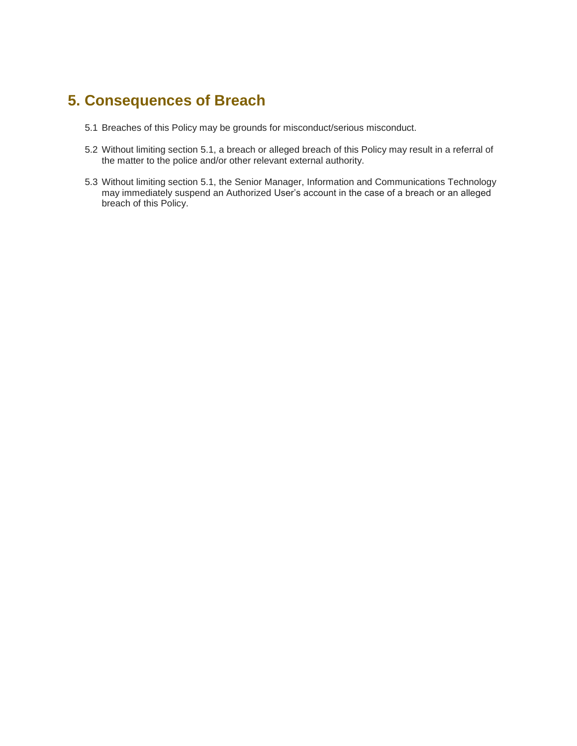## **5. Consequences of Breach**

- 5.1 Breaches of this Policy may be grounds for misconduct/serious misconduct.
- 5.2 Without limiting section 5.1, a breach or alleged breach of this Policy may result in a referral of the matter to the police and/or other relevant external authority.
- 5.3 Without limiting section 5.1, the Senior Manager, Information and Communications Technology may immediately suspend an Authorized User's account in the case of a breach or an alleged breach of this Policy.